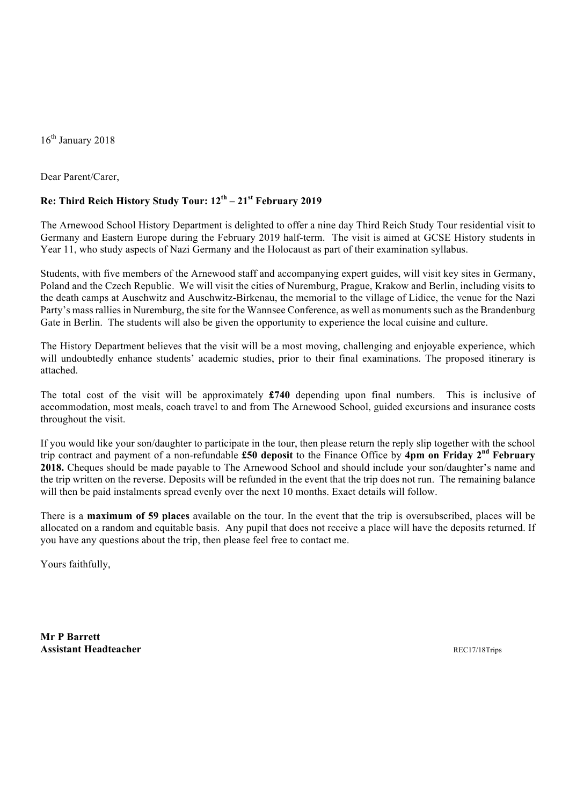16<sup>th</sup> January 2018

Dear Parent/Carer,

## **Re: Third Reich History Study Tour: 12th – 21st February 2019**

The Arnewood School History Department is delighted to offer a nine day Third Reich Study Tour residential visit to Germany and Eastern Europe during the February 2019 half-term. The visit is aimed at GCSE History students in Year 11, who study aspects of Nazi Germany and the Holocaust as part of their examination syllabus.

Students, with five members of the Arnewood staff and accompanying expert guides, will visit key sites in Germany, Poland and the Czech Republic. We will visit the cities of Nuremburg, Prague, Krakow and Berlin, including visits to the death camps at Auschwitz and Auschwitz-Birkenau, the memorial to the village of Lidice, the venue for the Nazi Party's mass rallies in Nuremburg, the site for the Wannsee Conference, as well as monuments such as the Brandenburg Gate in Berlin. The students will also be given the opportunity to experience the local cuisine and culture.

The History Department believes that the visit will be a most moving, challenging and enjoyable experience, which will undoubtedly enhance students' academic studies, prior to their final examinations. The proposed itinerary is attached.

The total cost of the visit will be approximately **£740** depending upon final numbers. This is inclusive of accommodation, most meals, coach travel to and from The Arnewood School, guided excursions and insurance costs throughout the visit.

If you would like your son/daughter to participate in the tour, then please return the reply slip together with the school trip contract and payment of a non-refundable **£50 deposit** to the Finance Office by **4pm on Friday 2nd February 2018.** Cheques should be made payable to The Arnewood School and should include your son/daughter's name and the trip written on the reverse. Deposits will be refunded in the event that the trip does not run. The remaining balance will then be paid instalments spread evenly over the next 10 months. Exact details will follow.

There is a **maximum of 59 places** available on the tour. In the event that the trip is oversubscribed, places will be allocated on a random and equitable basis. Any pupil that does not receive a place will have the deposits returned. If you have any questions about the trip, then please feel free to contact me.

Yours faithfully,

**Mr P Barrett Assistant Headteacher** REC17/18Trips